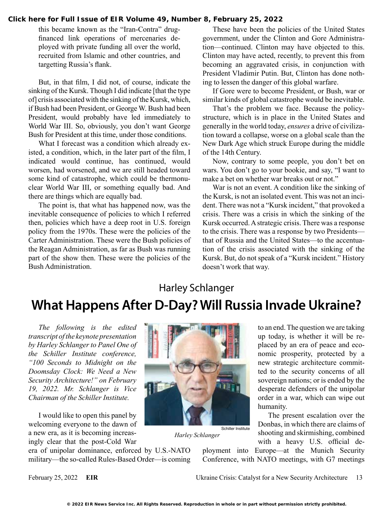#### **[Click here for Full Issue of EIR Volume 49, Number 8, February 25, 2022](http://www.larouchepub.com/eiw/public/2022/eirv49n08-20220225/index.html)**

this became known as the "Iran-Contra" drugfinanced link operations of mercenaries deployed with private funding all over the world, recruited from Islamic and other countries, and targetting Russia's flank.

But, in that film, I did not, of course, indicate the sinking of the Kursk. Though I did indicate [that the type of] crisis associated with the sinking of the Kursk, which, if Bush had been President, or George W. Bush had been President, would probably have led immediately to World War III. So, obviously, you don't want George Bush for President at this time, under those conditions.

What I forecast was a condition which already existed, a condition, which, in the later part of the film, I indicated would continue, has continued, would worsen, had worsened, and we are still headed toward some kind of catastrophe, which could be thermonuclear World War III, or something equally bad. And there are things which are equally bad.

The point is, that what has happened now, was the inevitable consequence of policies to which I referred then, policies which have a deep root in U.S. foreign policy from the 1970s. These were the policies of the Carter Administration. These were the Bush policies of the Reagan Administration, as far as Bush was running part of the show then. These were the policies of the Bush Administration.

These have been the policies of the United States government, under the Clinton and Gore Administration—continued. Clinton may have objected to this. Clinton may have acted, recently, to prevent this from becoming an aggravated crisis, in conjunction with President Vladimir Putin. But, Clinton has done nothing to lessen the danger of this global warfare.

If Gore were to become President, or Bush, war or similar kinds of global catastrophe would be inevitable.

That's the problem we face. Because the policystructure, which is in place in the United States and generally in the world today, *ensures* a drive of civilization toward a collapse, worse on a global scale than the New Dark Age which struck Europe during the middle of the 14th Century.

Now, contrary to some people, you don't bet on wars. You don't go to your bookie, and say, "I want to make a bet on whether war breaks out or not."

War is not an event. A condition like the sinking of the Kursk, is not an isolated event. This was not an incident. There was not a "Kursk incident," that provoked a crisis. There was a crisis in which the sinking of the Kursk occurred. A strategic crisis. There was a response to the crisis. There was a response by two Presidents that of Russia and the United States—to the accentuation of the crisis associated with the sinking of the Kursk. But, do not speak of a "Kursk incident." History doesn't work that way.

# Harley Schlanger **What Happens After D-Day? Will Russia Invade Ukraine?**

*The following is the edited transcript of the keynote presentation by Harley Schlanger to Panel One of the Schiller Institute conference, "100 Seconds to Midnight on the Doomsday Clock: We Need a New Security Architecture!" on February 19, 2022. Mr. Schlanger is Vice Chairman of the Schiller Institute.*

I would like to open this panel by welcoming everyone to the dawn of a new era, as it is becoming increasingly clear that the post-Cold War

era of unipolar dominance, enforced by U.S.-NATO military—the so-called Rules-Based Order—is coming



*Harley Schlanger*

to an end. The question we are taking up today, is whether it will be replaced by an era of peace and economic prosperity, protected by a new strategic architecture committed to the security concerns of all sovereign nations; or is ended by the desperate defenders of the unipolar order in a war, which can wipe out humanity.

The present escalation over the Donbas, in which there are claims of shooting and skirmishing, combined with a heavy U.S. official de-

ployment into Europe—at the Munich Security Conference, with NATO meetings, with G7 meetings

February 25, 2022 **EIR** Ukraine Crisis: Catalyst for a New Security Architecture 13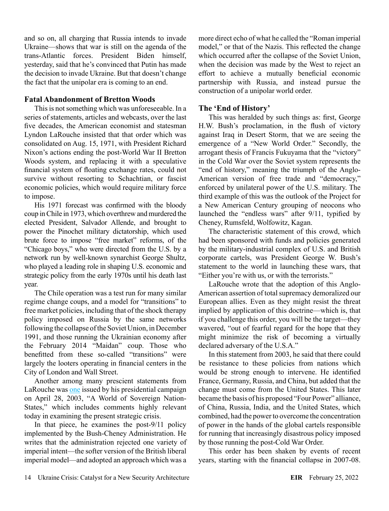and so on, all charging that Russia intends to invade Ukraine—shows that war is still on the agenda of the trans-Atlantic forces. President Biden himself, yesterday, said that he's convinced that Putin has made the decision to invade Ukraine. But that doesn't change the fact that the unipolar era is coming to an end.

## **Fatal Abandonment of Bretton Woods**

This is not something which was unforeseeable. In a series of statements, articles and webcasts, over the last five decades, the American economist and statesman Lyndon LaRouche insisted that that order which was consolidated on Aug. 15, 1971, with President Richard Nixon's actions ending the post-World War II Bretton Woods system, and replacing it with a speculative financial system of floating exchange rates, could not survive without resorting to Schachtian, or fascist economic policies, which would require military force to impose.

His 1971 forecast was confirmed with the bloody coup in Chile in 1973, which overthrew and murdered the elected President, Salvador Allende, and brought to power the Pinochet military dictatorship, which used brute force to impose "free market" reforms, of the "Chicago boys," who were directed from the U.S. by a network run by well-known synarchist George Shultz, who played a leading role in shaping U.S. economic and strategic policy from the early 1970s until his death last year.

The Chile operation was a test run for many similar regime change coups, and a model for "transitions" to free market policies, including that of the shock therapy policy imposed on Russia by the same networks following the collapse of the Soviet Union, in December 1991, and those running the Ukrainian economy after the February 2014 "Maidan" coup. Those who benefitted from these so-called "transitions" were largely the looters operating in financial centers in the City of London and Wall Street.

Another among many prescient statements from LaRouche was [one](https://larouchepub.com/lar/2003/3019sovrgn_states.html) issued by his presidential campaign on April 28, 2003, "A World of Sovereign Nation-States," which includes comments highly relevant today in examining the present strategic crisis.

In that piece, he examines the post-9/11 policy implemented by the Bush-Cheney Administration. He writes that the administration rejected one variety of imperial intent—the softer version of the British liberal imperial model—and adopted an approach which was a

more direct echo of what he called the "Roman imperial model," or that of the Nazis. This reflected the change which occurred after the collapse of the Soviet Union, when the decision was made by the West to reject an effort to achieve a mutually beneficial economic partnership with Russia, and instead pursue the construction of a unipolar world order.

## **The 'End of History'**

This was heralded by such things as: first, George H.W. Bush's proclamation, in the flush of victory against Iraq in Desert Storm, that we are seeing the emergence of a "New World Order." Secondly, the arrogant thesis of Francis Fukuyama that the "victory" in the Cold War over the Soviet system represents the "end of history," meaning the triumph of the Anglo-American version of free trade and "democracy," enforced by unilateral power of the U.S. military. The third example of this was the outlook of the Project for a New American Century grouping of neocons who launched the "endless wars" after 9/11, typified by Cheney, Rumsfeld, Wolfowitz, Kagan.

The characteristic statement of this crowd, which had been sponsored with funds and policies generated by the military-industrial complex of U.S. and British corporate cartels, was President George W. Bush's statement to the world in launching these wars, that "Either you're with us, or with the terrorists."

LaRouche wrote that the adoption of this Anglo-American assertion of total supremacy demoralized our European allies. Even as they might resist the threat implied by application of this doctrine—which is, that if you challenge this order, you will be the target—they wavered, "out of fearful regard for the hope that they might minimize the risk of becoming a virtually declared adversary of the U.S.A."

In this statement from 2003, he said that there could be resistance to these policies from nations which would be strong enough to intervene. He identified France, Germany, Russia, and China, but added that the change must come from the United States. This later became the basis of his proposed "Four Power" alliance, of China, Russia, India, and the United States, which combined, had the power to overcome the concentration of power in the hands of the global cartels responsible for running that increasingly disastrous policy imposed by those running the post-Cold War Order.

This order has been shaken by events of recent years, starting with the financial collapse in 2007-08.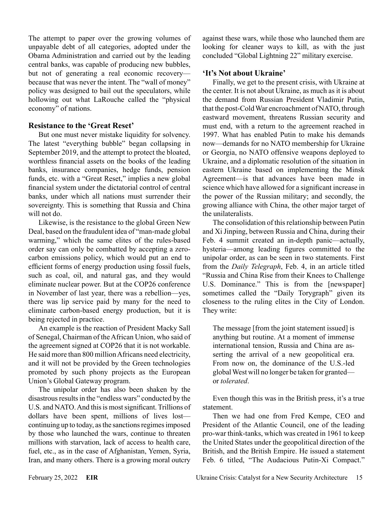The attempt to paper over the growing volumes of unpayable debt of all categories, adopted under the Obama Administration and carried out by the leading central banks, was capable of producing new bubbles, but not of generating a real economic recovery because that was never the intent. The "wall of money" policy was designed to bail out the speculators, while hollowing out what LaRouche called the "physical economy" of nations.

## **Resistance to the 'Great Reset'**

But one must never mistake liquidity for solvency. The latest "everything bubble" began collapsing in September 2019, and the attempt to protect the bloated, worthless financial assets on the books of the leading banks, insurance companies, hedge funds, pension funds, etc. with a "Great Reset," implies a new global financial system under the dictatorial control of central banks, under which all nations must surrender their sovereignty. This is something that Russia and China will not do.

Likewise, is the resistance to the global Green New Deal, based on the fraudulent idea of "man-made global warming," which the same elites of the rules-based order say can only be combatted by accepting a zerocarbon emissions policy, which would put an end to efficient forms of energy production using fossil fuels, such as coal, oil, and natural gas, and they would eliminate nuclear power. But at the COP26 conference in November of last year, there was a rebellion—yes, there was lip service paid by many for the need to eliminate carbon-based energy production, but it is being rejected in practice.

An example is the reaction of President Macky Sall of Senegal, Chairman of the African Union, who said of the agreement signed at COP26 that it is not workable. He said more than 800 million Africans need electricity, and it will not be provided by the Green technologies promoted by such phony projects as the European Union's Global Gateway program.

The unipolar order has also been shaken by the disastrous results in the "endless wars" conducted by the U.S. and NATO. And this is most significant. Trillions of dollars have been spent, millions of lives lostcontinuing up to today, as the sanctions regimes imposed by those who launched the wars, continue to threaten millions with starvation, lack of access to health care, fuel, etc., as in the case of Afghanistan, Yemen, Syria, Iran, and many others. There is a growing moral outcry

against these wars, while those who launched them are looking for cleaner ways to kill, as with the just concluded "Global Lightning 22" military exercise.

# **'It's Not about Ukraine'**

Finally, we get to the present crisis, with Ukraine at the center. It is not about Ukraine, as much as it is about the demand from Russian President Vladimir Putin, that the post-Cold War encroachment of NATO, through eastward movement, threatens Russian security and must end, with a return to the agreement reached in 1997. What has enabled Putin to make his demands now—demands for no NATO membership for Ukraine or Georgia, no NATO offensive weapons deployed to Ukraine, and a diplomatic resolution of the situation in eastern Ukraine based on implementing the Minsk Agreement—is that advances have been made in science which have allowed for a significant increase in the power of the Russian military; and secondly, the growing alliance with China, the other major target of the unilateralists.

The consolidation of this relationship between Putin and Xi Jinping, between Russia and China, during their Feb. 4 summit created an in-depth panic—actually, hysteria—among leading figures committed to the unipolar order, as can be seen in two statements. First from the *Daily Telegraph*, Feb. 4, in an article titled "Russia and China Rise from their Knees to Challenge U.S. Dominance." This is from the [newspaper] sometimes called the "Daily Torygraph" given its closeness to the ruling elites in the City of London. They write:

The message [from the joint statement issued] is anything but routine. At a moment of immense international tension, Russia and China are asserting the arrival of a new geopolitical era. From now on, the dominance of the U.S.-led global West will no longer be taken for granted or *tolerated*.

Even though this was in the British press, it's a true statement.

Then we had one from Fred Kempe, CEO and President of the Atlantic Council, one of the leading pro-war think-tanks, which was created in 1961 to keep the United States under the geopolitical direction of the British, and the British Empire. He issued a statement Feb. 6 titled, "The Audacious Putin-Xi Compact."